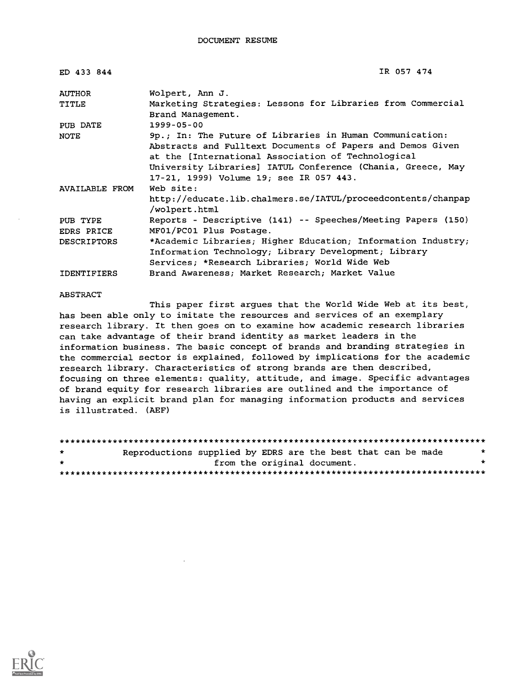| ED 433 844                    | IR 057 474                                                                                                                                                                                                                                                                             |
|-------------------------------|----------------------------------------------------------------------------------------------------------------------------------------------------------------------------------------------------------------------------------------------------------------------------------------|
| <b>AUTHOR</b>                 | Wolpert, Ann J.                                                                                                                                                                                                                                                                        |
| TITLE                         | Marketing Strategies: Lessons for Libraries from Commercial<br>Brand Management.                                                                                                                                                                                                       |
| PUB DATE                      | 1999-05-00                                                                                                                                                                                                                                                                             |
| NOTE                          | 9p.; In: The Future of Libraries in Human Communication:<br>Abstracts and Fulltext Documents of Papers and Demos Given<br>at the [International Association of Technological<br>University Libraries] IATUL Conference (Chania, Greece, May<br>17-21, 1999) Volume 19; see IR 057 443. |
| AVAILABLE FROM                | Web site:<br>http://educate.lib.chalmers.se/IATUL/proceedcontents/chanpap<br>/wolpert.html                                                                                                                                                                                             |
| PUB TYPE<br><b>EDRS PRICE</b> | Reports - Descriptive (141) -- Speeches/Meeting Papers (150)<br>MF01/PC01 Plus Postage.                                                                                                                                                                                                |
| <b>DESCRIPTORS</b>            | *Academic Libraries; Higher Education; Information Industry;<br>Information Technology; Library Development; Library<br>Services; *Research Libraries; World Wide Web                                                                                                                  |
| <b>IDENTIFIERS</b>            | Brand Awareness; Market Research; Market Value                                                                                                                                                                                                                                         |

#### ABSTRACT

This paper first argues that the World Wide Web at its best, has been able only to imitate the resources and services of an exemplary research library. It then goes on to examine how academic research libraries can take advantage of their brand identity as market leaders in the information business. The basic concept of brands and branding strategies in the commercial sector is explained, followed by implications for the academic research library. Characteristics of strong brands are then described, focusing on three elements: quality, attitude, and image. Specific advantages of brand equity for research libraries are outlined and the importance of having an explicit brand plan for managing information products and services is illustrated. (AEF)

| $\star$      | Reproductions supplied by EDRS are the best that can be made |                             |  |  |  |  |   |
|--------------|--------------------------------------------------------------|-----------------------------|--|--|--|--|---|
| $\mathbf{r}$ |                                                              | from the original document. |  |  |  |  | ÷ |
|              |                                                              |                             |  |  |  |  |   |

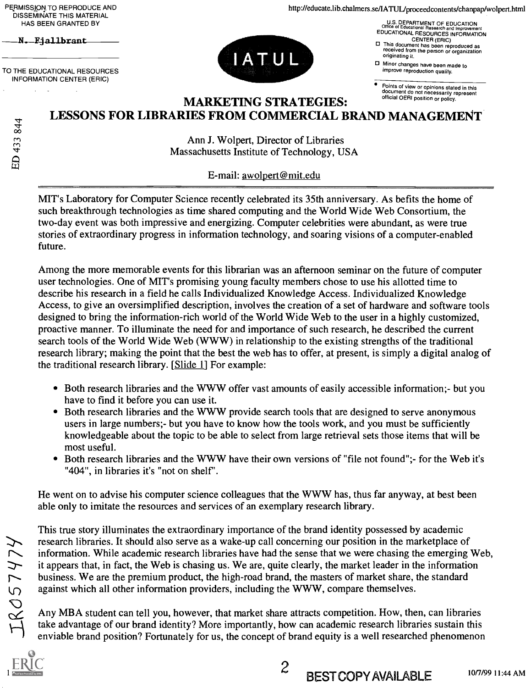PERMISSION. TO REPRODUCE AND DISSEMINATE THIS MATERIAL HAS BEEN GRANTED BY

N. Fiallbrant

ED 433 844

TO THE EDUCATIONAL RESOURCES INFORMATION CENTER (ERIC)



http://educate.lib.chalmers.se/IATUL/proceedcontents/chanpap/wolpert.html

U.S. DEPARTMENT OF EDUCATION Office or Educational Research and Improvement EDUCATIONAL RESOURCES INFORMATION

CENTER (ERIC) This document has been reproduced as received from the person or organization originating it.

Minor changes have been made to improve reproduction quality.

Points of view or opinions stated in this document do not necessarily represent official OERI position or policy.

#### MARKETING STRATEGIES: LESSONS FOR LIBRARIES FROM COMMERCIAL BRAND MANAGEMENT

Ann J. Wolpert, Director of Libraries Massachusetts Institute of Technology, USA

E-mail: awolpert@mit.edu

MIT's Laboratory for Computer Science recently celebrated its 35th anniversary. As befits the home of such breakthrough technologies as time shared computing and the World Wide Web Consortium, the two-day event was both impressive and energizing. Computer celebrities were abundant, as were true stories of extraordinary progress in information technology, and soaring visions of a computer-enabled future.

Among the more memorable events for this librarian was an afternoon seminar on the future of computer user technologies. One of MIT's promising young faculty members chose to use his allotted time to describe his research in a field he calls Individualized Knowledge Access. Individualized Knowledge Access, to give an oversimplified description, involves the creation of a set of hardware and software tools designed to bring the information-rich world of the World Wide Web to the user in a highly customized, proactive manner. To illuminate the need for and importance of such research, he described the current search tools of the World Wide Web (WWW) in relationship to the existing strengths of the traditional research library; making the point that the best the web has to offer, at present, is simply a digital analog of the traditional research library. [Slide 1] For example:

- Both research libraries and the WWW offer vast amounts of easily accessible information; but you have to find it before you can use it.
- Both research libraries and the WWW provide search tools that are designed to serve anonymous users in large numbers;- but you have to know how the tools work, and you must be sufficiently knowledgeable about the topic to be able to select from large retrieval sets those items that will be most useful.
- $\bullet$ Both research libraries and the WWW have their own versions of "file not found";- for the Web it's "404", in libraries it's "not on shelf".

He went on to advise his computer science colleagues that the WWW has, thus far anyway, at best been able only to imitate the resources and services of an exemplary research library.

This true story illuminates the extraordinary importance of the brand identity possessed by academic research libraries. It should also serve as a wake-up call concerning our position in the marketplace of information. While academic research libraries have had the sense that we were chasing the emerging Web, it appears that, in fact, the Web is chasing us. We are, quite clearly, the market leader in the information business. We are the premium product, the high-road brand, the masters of market share, the standard against which all other information providers, including the WWW, compare themselves.

Any MBA student can tell you, however, that market share attracts competition. How, then, can libraries take advantage of our brand identity? More importantly, how can academic research libraries sustain this enviable brand position? Fortunately for us, the concept of brand equity is a well researched phenomenon

2

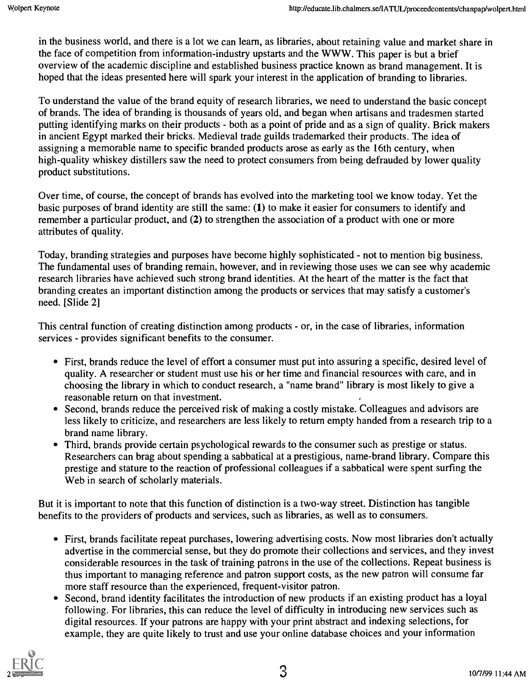in the business world, and there is a lot we can learn, as libraries, about retaining value and market share in the face of competition from information-industry upstarts and the WWW. This paper is but a brief overview of the academic discipline and established business practice known as brand management. It is hoped that the ideas presented here will spark your interest in the application of branding to libraries.

To understand the value of the brand equity of research libraries, we need to understand the basic concept of brands. The idea of branding is thousands of years old, and began when artisans and tradesmen started putting identifying marks on their products - both as a point of pride and as a sign of quality. Brick makers in ancient Egypt marked their bricks. Medieval trade guilds trademarked their products. The idea of assigning a memorable name to specific branded products arose as early as the 16th century, when high-quality whiskey distillers saw the need to protect consumers from being defrauded by lower quality product substitutions.

Over time, of course, the concept of brands has evolved into the marketing tool we know today. Yet the basic purposes of brand identity are still the same: (1) to make it easier for consumers to identify and remember a particular product, and (2) to strengthen the association of a product with one or more attributes of quality.

Today, branding strategies and purposes have become highly sophisticated - not to mention big business. The fundamental uses of branding remain, however, and in reviewing those uses we can see why academic research libraries have achieved such strong brand identities. At the heart of the matter is the fact that branding creates an important distinction among the products or services that may satisfy a customer's need. [Slide 2]

This central function of creating distinction among products - or, in the case of libraries, information services - provides significant benefits to the consumer.

- First, brands reduce the level of effort a consumer must put into assuring a specific, desired level of quality. A researcher or student must use his or her time and financial resources with care, and in choosing the library in which to conduct research, a "name brand" library is most likely to give a reasonable return on that investment.
- Second, brands reduce the perceived risk of making a costly mistake. Colleagues and advisors are less likely to criticize, and researchers are less likely to return empty handed from a research trip to a brand name library.
- Third, brands provide certain psychological rewards to the consumer such as prestige or status. Researchers can brag about spending a sabbatical at a prestigious, name-brand library. Compare this prestige and stature to the reaction of professional colleagues if a sabbatical were spent surfing the Web in search of scholarly materials.

But it is important to note that this function of distinction is a two-way street. Distinction has tangible benefits to the providers of products and services, such as libraries, as well as to consumers.

- First, brands facilitate repeat purchases, lowering advertising costs. Now most libraries don't actually advertise in the commercial sense, but they do promote their collections and services, and they invest considerable resources in the task of training patrons in the use of the collections. Repeat business is thus important to managing reference and patron support costs, as the new patron will consume far more staff resource than the experienced, frequent-visitor patron.
- Second, brand identity facilitates the introduction of new products if an existing product has a loyal following. For libraries, this can reduce the level of difficulty in introducing new services such as digital resources. If your patrons are happy with your print abstract and indexing selections, for example, they are quite likely to trust and use your online database choices and your information

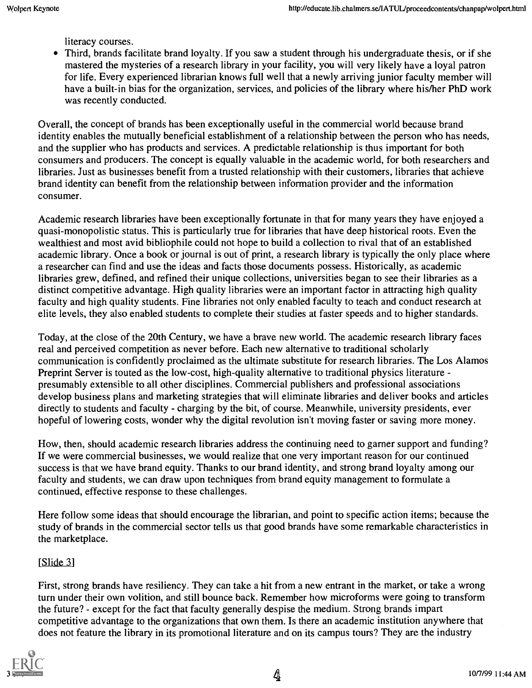literacy courses.

Third, brands facilitate brand loyalty. If you saw a student through his undergraduate thesis, or if she mastered the mysteries of a research library in your facility, you will very likely have a loyal patron for life. Every experienced librarian knows full well that a newly arriving junior faculty member will have a built-in bias for the organization, services, and policies of the library where his/her PhD work was recently conducted.

Overall, the concept of brands has been exceptionally useful in the commercial world because brand identity enables the mutually beneficial establishment of a relationship between the person who has needs, and the supplier who has products and services. A predictable relationship is thus important for both consumers and producers. The concept is equally valuable in the academic world, for both researchers and libraries. Just as businesses benefit from a trusted relationship with their customers, libraries that achieve brand identity can benefit from the relationship between information provider and the information consumer.

Academic research libraries have been exceptionally fortunate in that for many years they have enjoyed a quasi-monopolistic status. This is particularly true for libraries that have deep historical roots. Even the wealthiest and most avid bibliophile could not hope to build a collection to rival that of an established academic library. Once a book or journal is out of print, a research library is typically the only place where a researcher can find and use the ideas and facts those documents possess. Historically, as academic libraries grew, defined, and refined their unique collections, universities began to see their libraries as a distinct competitive advantage. High quality libraries were an important factor in attracting high quality faculty and high quality students. Fine libraries not only enabled faculty to teach and conduct research at elite levels, they also enabled students to complete their studies at faster speeds and to higher standards.

Today, at the close of the 20th Century, we have a brave new world. The academic research library faces real and perceived competition as never before. Each new alternative to traditional scholarly communication is confidently proclaimed as the ultimate substitute for research libraries. The Los Alamos Preprint Server is touted as the low-cost, high-quality alternative to traditional physics literature presumably extensible to all other disciplines. Commercial publishers and professional associations develop business plans and marketing strategies that will eliminate libraries and deliver books and articles directly to students and faculty - charging by the bit, of course. Meanwhile, university presidents, ever hopeful of lowering costs, wonder why the digital revolution isn't moving faster or saving more money.

How, then, should academic research libraries address the continuing need to garner support and funding? If we were commercial businesses, we would realize that one very important reason for our continued success is that we have brand equity. Thanks to our brand identity, and strong brand loyalty among our faculty and students, we can draw upon techniques from brand equity management to formulate a continued, effective response to these challenges.

Here follow some ideas that should encourage the librarian, and point to specific action items; because the study of brands in the commercial sector tells us that good brands have some remarkable characteristics in the marketplace.

#### [Slide 3]

First, strong brands have resiliency. They can take a hit from a new entrant in the market, or take a wrong turn under their own volition, and still bounce back. Remember how microforms were going to transform the future? except for the fact that faculty generally despise the medium. Strong brands impart competitive advantage to the organizations that own them. Is there an academic institution anywhere that does not feature the library in its promotional literature and on its campus tours? They are the industry

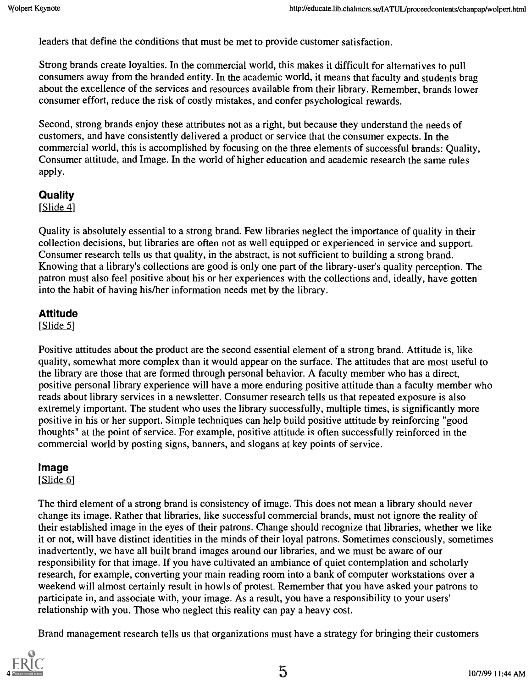leaders that define the conditions that must be met to provide customer satisfaction.

Strong brands create loyalties. In the commercial world, this makes it difficult for alternatives to pull consumers away from the branded entity. In the academic world, it means that faculty and students brag about the excellence of the services and resources available from their library. Remember, brands lower consumer effort, reduce the risk of costly mistakes, and confer psychological rewards.

Second, strong brands enjoy these attributes not as a right, but because they understand the needs of customers, and have consistently delivered a product or service that the consumer expects. In the commercial world, this is accomplished by focusing on the three elements of successful brands: Quality, Consumer attitude, and Image. In the world of higher education and academic research the same rules apply.

### **Quality**

[Slide 4]

Quality is absolutely essential to a strong brand. Few libraries neglect the importance of quality in their collection decisions, but libraries are often not as well equipped or experienced in service and support. Consumer research tells us that quality, in the abstract, is not sufficient to building a strong brand. Knowing that a library's collections are good is only one part of the library-user's quality perception. The patron must also feel positive about his or her experiences with the collections and, ideally, have gotten into the habit of having his/her information needs met by the library.

#### Attitude

[Slide 5]

Positive attitudes about the product are the second essential element of a strong brand. Attitude is, like quality, somewhat more complex than it would appear on the surface. The attitudes that are most useful to the library are those that are formed through personal behavior. A faculty member who has a direct, positive personal library experience will have a more enduring positive attitude than a faculty member who reads about library services in a newsletter. Consumer research tells us that repeated exposure is also extremely important. The student who uses the library successfully, multiple times, is significantly more positive in his or her support. Simple techniques can help build positive attitude by reinforcing "good thoughts" at the point of service. For example, positive attitude is often successfully reinforced in the commercial world by posting signs, banners, and slogans at key points of service.

#### Image

[Slide 6]

The third element of a strong brand is consistency of image. This does not mean a library should never change its image. Rather that libraries, like successful commercial brands, must not ignore the reality of their established image in the eyes of their patrons. Change should recognize that libraries, whether we like it or not, will have distinct identities in the minds of their loyal patrons. Sometimes consciously, sometimes inadvertently, we have all built brand images around our libraries, and we must be aware of our responsibility for that image. If you have cultivated an ambiance of quiet contemplation and scholarly research, for example, converting your main reading room into a bank of computer workstations over a weekend will almost certainly result in howls of protest. Remember that you have asked your patrons to participate in, and associate with, your image. As a result, you have a responsibility to your users' relationship with you. Those who neglect this reality can pay a heavy cost.

Brand management research tells us that organizations must have a strategy for bringing their customers

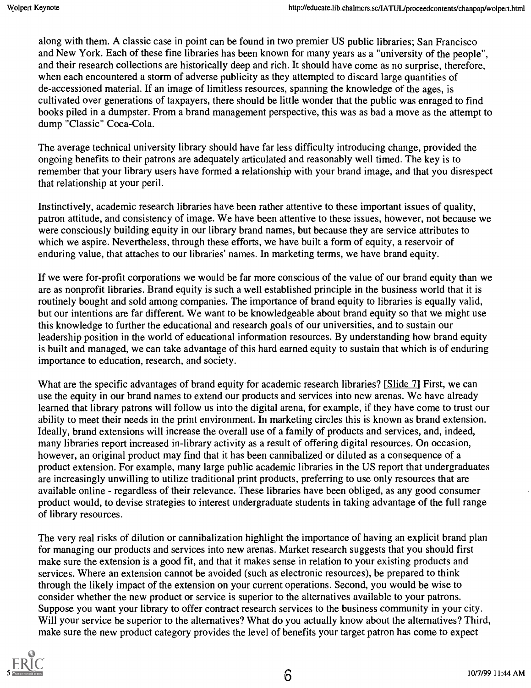along with them. A classic case in point can be found in two premier US public libraries; San Francisco and New York. Each of these fine libraries has been known for many years as a "university of the people", and their research collections are historically deep and rich. It should have come as no surprise, therefore, when each encountered a storm of adverse publicity as they attempted to discard large quantities of de-accessioned material. If an image of limitless resources, spanning the knowledge of the ages, is cultivated over generations of taxpayers, there should be little wonder that the public was enraged to find books piled in a dumpster. From a brand management perspective, this was as bad a move as the attempt to dump "Classic" Coca-Cola.

The average technical university library should have far less difficulty introducing change, provided the ongoing benefits to their patrons are adequately articulated and reasonably well timed. The key is to remember that your library users have formed a relationship with your brand image, and that you disrespect that relationship at your peril.

Instinctively, academic research libraries have been rather attentive to these important issues of quality, patron attitude, and consistency of image. We have been attentive to these issues, however, not because we were consciously building equity in our library brand names, but because they are service attributes to which we aspire. Nevertheless, through these efforts, we have built a form of equity, a reservoir of enduring value, that attaches to our libraries' names. In marketing terms, we have brand equity.

If we were for-profit corporations we would be far more conscious of the value of our brand equity than we are as nonprofit libraries. Brand equity is such a well established principle in the business world that it is routinely bought and sold among companies. The importance of brand equity to libraries is equally valid, but our intentions are far different. We want to be knowledgeable about brand equity so that we might use this knowledge to further the educational and research goals of our universities, and to sustain our leadership position in the world of educational information resources. By understanding how brand equity is built and managed, we can take advantage of this hard earned equity to sustain that which is of enduring importance to education, research, and society.

What are the specific advantages of brand equity for academic research libraries? [Slide 7] First, we can use the equity in our brand names to extend our products and services into new arenas. We have already learned that library patrons will follow us into the digital arena, for example, if they have come to trust our ability to meet their needs in the print environment. In marketing circles this is known as brand extension. Ideally, brand extensions will increase the overall use of a family of products and services, and, indeed, many libraries report increased in-library activity as a result of offering digital resources. On occasion, however, an original product may find that it has been cannibalized or diluted as a consequence of a product extension. For example, many large public academic libraries in the US report that undergraduates are increasingly unwilling to utilize traditional print products, preferring to use only resources that are available online - regardless of their relevance. These libraries have been obliged, as any good consumer product would, to devise strategies to interest undergraduate students in taking advantage of the full range of library resources.

The very real risks of dilution or cannibalization highlight the importance of having an explicit brand plan for managing our products and services into new arenas. Market research suggests that you should first make sure the extension is a good fit, and that it makes sense in relation to your existing products and services. Where an extension cannot be avoided (such as electronic resources), be prepared to think through the likely impact of the extension on your current operations. Second, you would be wise to consider whether the new product or service is superior to the alternatives available to your patrons. Suppose you want your library to offer contract research services to the business community in your city. Will your service be superior to the alternatives? What do you actually know about the alternatives? Third, make sure the new product category provides the level of benefits your target patron has come to expect

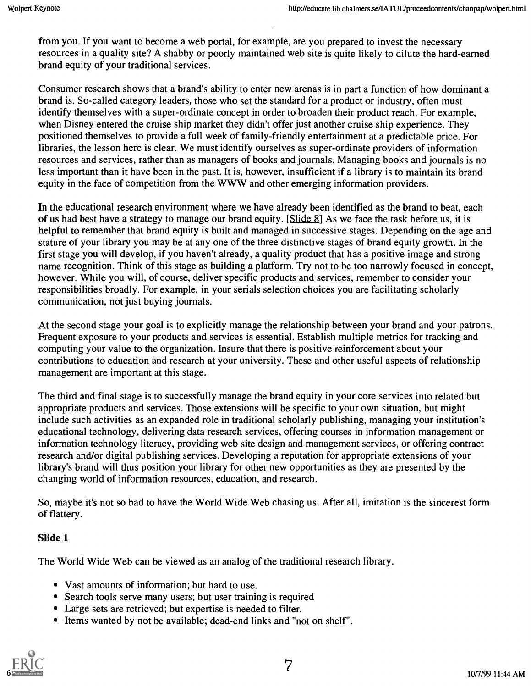from you. If you want to become a web portal, for example, are you prepared to invest the necessary resources in a quality site? A shabby or poorly maintained web site is quite likely to dilute the hard-earned brand equity of your traditional services.

Consumer research shows that a brand's ability to enter new arenas is in part a function of how dominant a brand is. So-called category leaders, those who set the standard for a product or industry, often must identify themselves with a super-ordinate concept in order to broaden their product reach. For example, when Disney entered the cruise ship market they didn't offer just another cruise ship experience. They positioned themselves to provide a full week of family-friendly entertainment at a predictable price. For libraries, the lesson here is clear. We must identify ourselves as super-ordinate providers of information resources and services, rather than as managers of books and journals. Managing books and journals is no less important than it have been in the past. It is, however, insufficient if a library is to maintain its brand equity in the face of competition from the WWW and other emerging information providers.

In the educational research environment where we have already been identified as the brand to beat, each of us had best have a strategy to manage our brand equity. [Slide 8] As we face the task before us, it is helpful to remember that brand equity is built and managed in successive stages. Depending on the age and stature of your library you may be at any one of the three distinctive stages of brand equity growth. In the first stage you will develop, if you haven't already, a quality product that has a positive image and strong name recognition. Think of this stage as building a platform. Try not to be too narrowly focused in concept, however. While you will, of course, deliver specific products and services, remember to consider your responsibilities broadly. For example, in your serials selection choices you are facilitating scholarly communication, not just buying journals.

At the second stage your goal is to explicitly manage the relationship between your brand and your patrons. Frequent exposure to your products and services is essential. Establish multiple metrics for tracking and computing your value to the organization. Insure that there is positive reinforcement about your contributions to education and research at your university. These and other useful aspects of relationship management are important at this stage.

The third and final stage is to successfully manage the brand equity in your core services into related but appropriate products and services. Those extensions will be specific to your own situation, but might include such activities as an expanded role in traditional scholarly publishing, managing your institution's educational technology, delivering data research services, offering courses in information management or information technology literacy, providing web site design and management services, or offering contract research and/or digital publishing services. Developing a reputation for appropriate extensions of your library's brand will thus position your library for other new opportunities as they are presented by the changing world of information resources, education, and research.

So, maybe it's not so bad to have the World Wide Web chasing us. After all, imitation is the sincerest form of flattery.

#### Slide 1

The World Wide Web can be viewed as an analog of the traditional research library.

- Vast amounts of information; but hard to use.
- Search tools serve many users; but user training is required
- Large sets are retrieved; but expertise is needed to filter.
- Items wanted by not be available; dead-end links and "not on shelf".

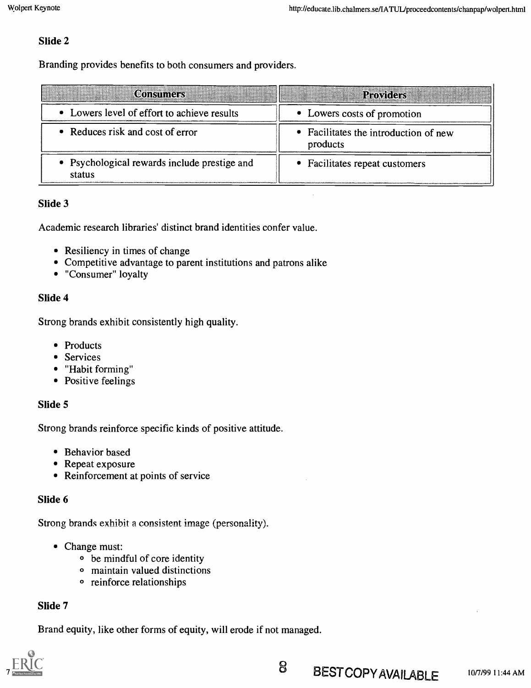#### Slide 2

Branding provides benefits to both consumers and providers.

| <b>Consumers</b>                                       | <b>Providers</b>                                  |  |  |  |  |
|--------------------------------------------------------|---------------------------------------------------|--|--|--|--|
| • Lowers level of effort to achieve results            | • Lowers costs of promotion                       |  |  |  |  |
| • Reduces risk and cost of error                       | • Facilitates the introduction of new<br>products |  |  |  |  |
| • Psychological rewards include prestige and<br>status | • Facilitates repeat customers                    |  |  |  |  |

#### Slide 3

Academic research libraries' distinct brand identities confer value.

- Resiliency in times of change
- Competitive advantage to parent institutions and patrons alike
- "Consumer" loyalty

#### Slide 4

Strong brands exhibit consistently high quality.

- Products
- Services
- "Habit forming"
- Positive feelings

#### Slide 5

Strong brands reinforce specific kinds of positive attitude.

- Behavior based
- Repeat exposure
- Reinforcement at points of service

#### Slide 6

Strong brands exhibit a consistent image (personality).

- Change must:
	- o be mindful of core identity
	- o maintain valued distinctions
	- o reinforce relationships

#### Slide 7

Brand equity, like other forms of equity, will erode if not managed.

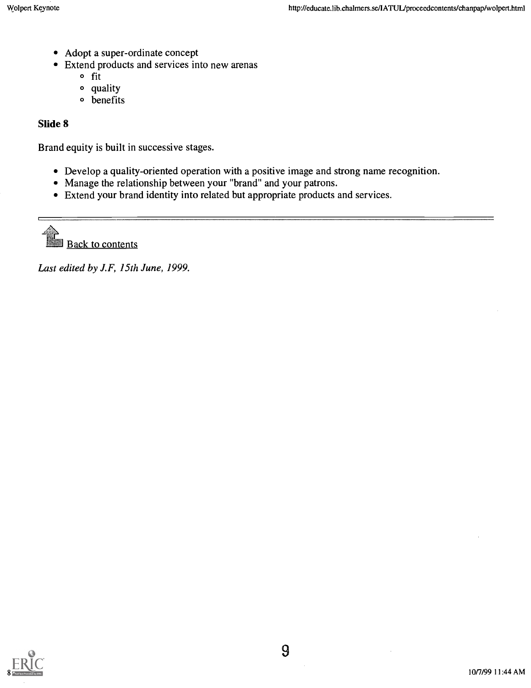- Adopt a super-ordinate concept
- Extend products and services into new arenas  $\bullet$ 
	- o fit
	- o quality
	- <sup>o</sup> benefits

#### Slide 8

Brand equity is built in successive stages.

- Develop a quality-oriented operation with a positive image and strong name recognition.
- Manage the relationship between your "brand" and your patrons.
- Extend your brand identity into related but appropriate products and services.

Back to contents

Last edited by J.F, 15th June, 1999.